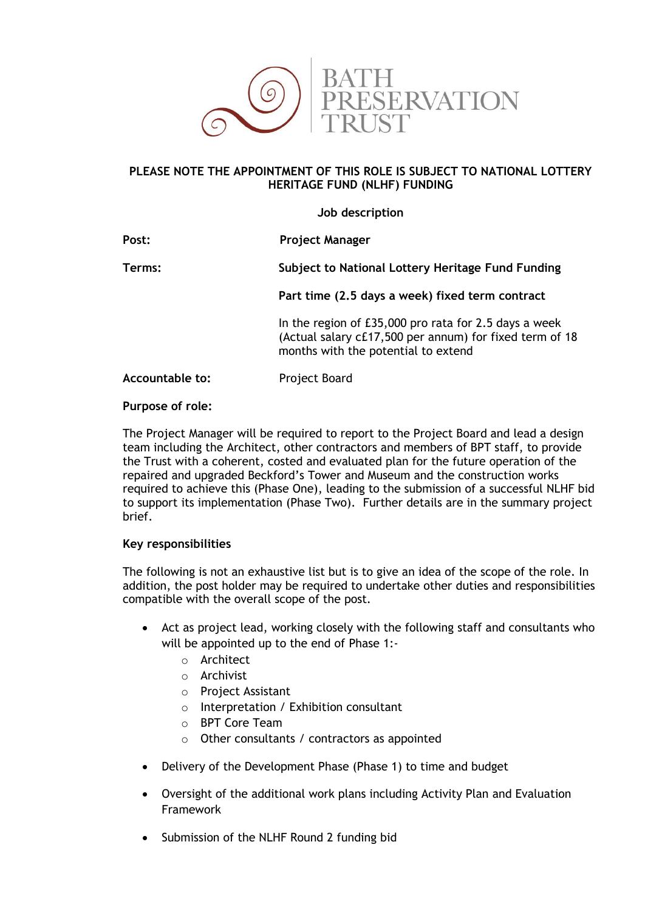

## **PLEASE NOTE THE APPOINTMENT OF THIS ROLE IS SUBJECT TO NATIONAL LOTTERY HERITAGE FUND (NLHF) FUNDING**

**Job description**

| Post:           | <b>Project Manager</b>                                                                                                                                  |
|-----------------|---------------------------------------------------------------------------------------------------------------------------------------------------------|
| Terms:          | Subject to National Lottery Heritage Fund Funding                                                                                                       |
|                 | Part time (2.5 days a week) fixed term contract                                                                                                         |
|                 | In the region of £35,000 pro rata for 2.5 days a week<br>(Actual salary c£17,500 per annum) for fixed term of 18<br>months with the potential to extend |
| Accountable to: | Project Board                                                                                                                                           |

#### **Purpose of role:**

The Project Manager will be required to report to the Project Board and lead a design team including the Architect, other contractors and members of BPT staff, to provide the Trust with a coherent, costed and evaluated plan for the future operation of the repaired and upgraded Beckford's Tower and Museum and the construction works required to achieve this (Phase One), leading to the submission of a successful NLHF bid to support its implementation (Phase Two). Further details are in the summary project brief.

### **Key responsibilities**

The following is not an exhaustive list but is to give an idea of the scope of the role. In addition, the post holder may be required to undertake other duties and responsibilities compatible with the overall scope of the post.

- Act as project lead, working closely with the following staff and consultants who will be appointed up to the end of Phase 1:
	- o Architect
	- o Archivist
	- o Project Assistant
	- o Interpretation / Exhibition consultant
	- o BPT Core Team
	- o Other consultants / contractors as appointed
- Delivery of the Development Phase (Phase 1) to time and budget
- Oversight of the additional work plans including Activity Plan and Evaluation Framework
- Submission of the NLHF Round 2 funding bid